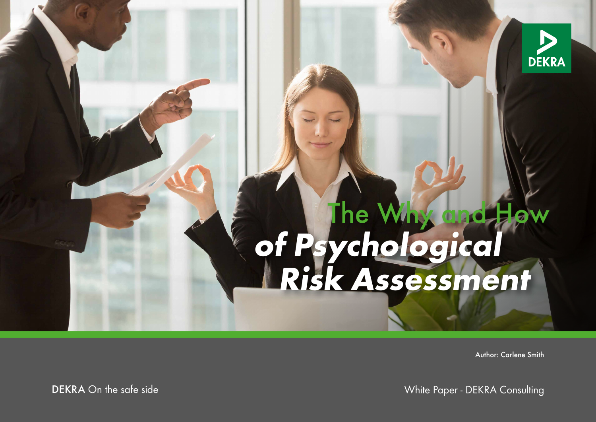

# **of Psychological Risk Assessment** The Why and How

Author: Carlene Smith

DEKRA On the safe side North Consulting Consulting Consulting Consulting Consulting Consulting Consulting Consulting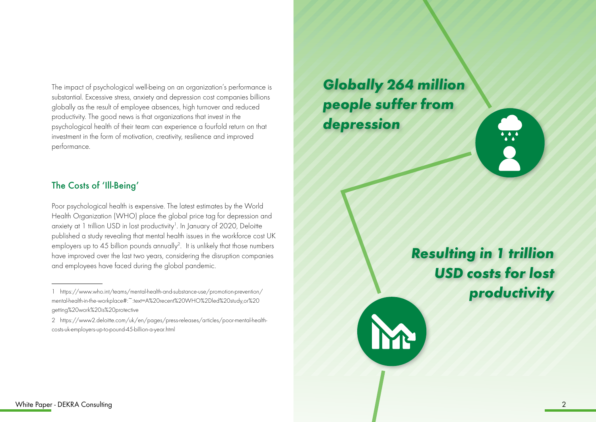The impact of psychological well-being on an organization's performance is substantial. Excessive stress, anxiety and depression cost companies billions globally as the result of employee absences, high turnover and reduced productivity. The good news is that organizations that invest in the psychological health of their team can experience a fourfold return on that investment in the form of motivation, creativity, resilience and improved performance.

### The Costs of 'Ill-Being'

Poor psychological health is expensive. The latest estimates by the World Health Organization (WHO) place the global price tag for depression and anxiety at 1 trillion USD in lost productivity<sup>1</sup>. In January of 2020, Deloitte published a study revealing that mental health issues in the workforce cost UK employers up to 45 billion pounds annually<sup>2</sup>. It is unlikely that those numbers have improved over the last two years, considering the disruption companies and employees have faced during the global pandemic.

*Globally 264 million people suffer from depression* 

> *Resulting in 1 trillion USD costs for lost productivity*

<sup>1</sup> https://www.who.int/teams/mental-health-and-substance-use/promotion-prevention/ mental-health-in-the-workplace#:~:text=A%20recent%20WHO%2Dled%20study,or%20 getting%20work%20is%20protective

<sup>2</sup> https://www2.deloitte.com/uk/en/pages/press-releases/articles/poor-mental-healthcosts-uk-employers-up-to-pound-45-billion-a-year.html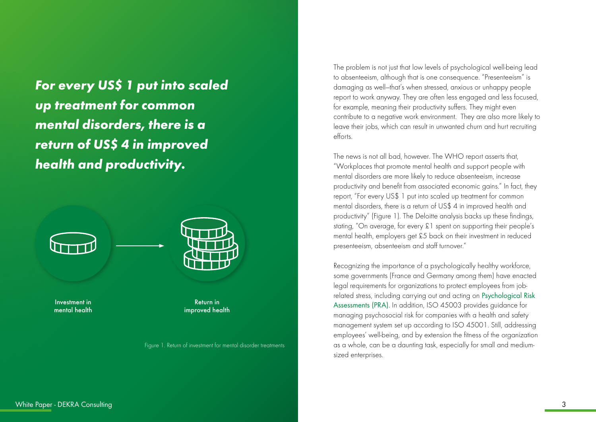*For every US\$ 1 put into scaled up treatment for common mental disorders, there is a return of US\$ 4 in improved health and productivity.*



Investment in mental health



Return in improved health

Figure 1. Return of investment for mental disorder treatments

The problem is not just that low levels of psychological well-being lead to absenteeism, although that is one consequence. "Presenteeism" is damaging as well—that's when stressed, anxious or unhappy people report to work anyway. They are often less engaged and less focused, for example, meaning their productivity suffers. They might even contribute to a negative work environment. They are also more likely to leave their jobs, which can result in unwanted churn and hurt recruiting efforts.

The news is not all bad, however. The WHO report asserts that, "Workplaces that promote mental health and support people with mental disorders are more likely to reduce absenteeism, increase productivity and benefit from associated economic gains." In fact, they report, "For every US\$ 1 put into scaled up treatment for common mental disorders, there is a return of US\$ 4 in improved health and productivity" (Figure 1). The Deloitte analysis backs up these findings, stating, "On average, for every £1 spent on supporting their people's mental health, employers get £5 back on their investment in reduced presenteeism, absenteeism and staff turnover."

Recognizing the importance of a psychologically healthy workforce, some governments (France and Germany among them) have enacted legal requirements for organizations to protect employees from jobrelated stress, including carrying out and acting on [Psychological Risk](https://www.dekra.com/en/psychological-risk-assessment-and-services/)  [Assessments \(PRA\)](https://www.dekra.com/en/psychological-risk-assessment-and-services/). In addition, ISO 45003 provides guidance for managing psychosocial risk for companies with a health and safety management system set up according to ISO 45001. Still, addressing employees' well-being, and by extension the fitness of the organization as a whole, can be a daunting task, especially for small and mediumsized enterprises.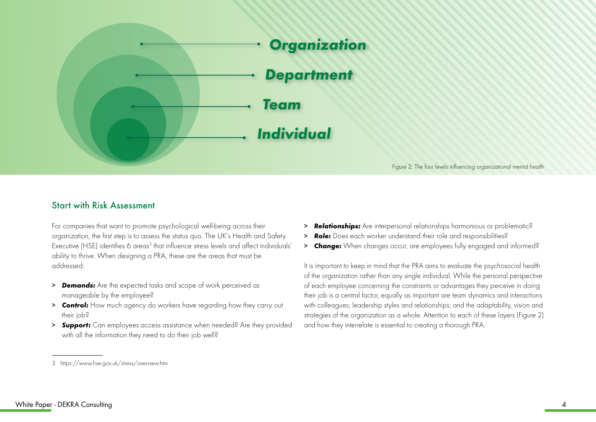

#### Figure 2. The four levels influencing organizational mental health

#### Start with Risk Assessment

For companies that want to promote psychological well-being across their organization, the first step is to assess the status quo. The UK's Health and Safety Executive (HSE) identifies 6 areas<sup>3</sup> that influence stress levels and affect individuals' ability to thrive. When designing a PRA, these are the areas that must be addressed:

- > *Demands:* Are the expected tasks and scope of work perceived as manageable by the employee?
- > *Control:* How much agency do workers have regarding how they carry out their job?
- > *Support:* Can employees access assistance when needed? Are they provided with all the information they need to do their job well?
- > *Relationships:* Are interpersonal relationships harmonious or problematic?
- > **Role:** Does each worker understand their role and responsibilities?
- > *Change:* When changes occur, are employees fully engaged and informed?

It is important to keep in mind that the PRA aims to evaluate the psychosocial health of the organization rather than any single individual. While the personal perspective of each employee concerning the constraints or advantages they perceive in doing their job is a central factor, equally as important are team dynamics and interactions with colleagues; leadership styles and relationships; and the adaptability, vision and strategies of the organization as a whole. Attention to each of these layers (Figure 2) and how they interrelate is essential to creating a thorough PRA.

<sup>3</sup> https://www.hse.gov.uk/stress/overview.htm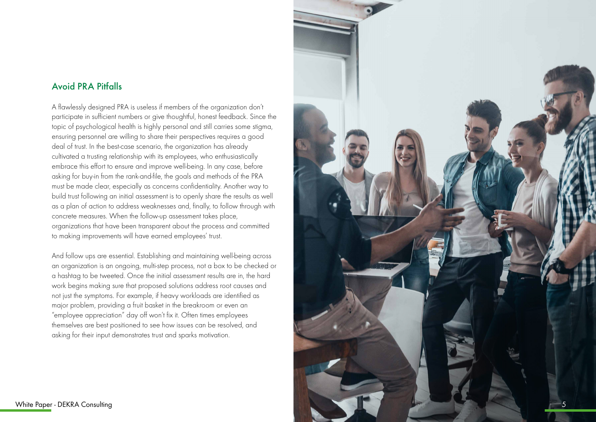#### Avoid PRA Pitfalls

A flawlessly designed PRA is useless if members of the organization don't participate in sufficient numbers or give thoughtful, honest feedback. Since the topic of psychological health is highly personal and still carries some stigma, ensuring personnel are willing to share their perspectives requires a good deal of trust. In the best-case scenario, the organization has already cultivated a trusting relationship with its employees, who enthusiastically embrace this effort to ensure and improve well-being. In any case, before asking for buy-in from the rank-and-file, the goals and methods of the PRA must be made clear, especially as concerns confidentiality. Another way to build trust following an initial assessment is to openly share the results as well as a plan of action to address weaknesses and, finally, to follow through with concrete measures. When the follow-up assessment takes place, organizations that have been transparent about the process and committed to making improvements will have earned employees' trust.

And follow ups are essential. Establishing and maintaining well-being across an organization is an ongoing, multi-step process, not a box to be checked or a hashtag to be tweeted. Once the initial assessment results are in, the hard work begins making sure that proposed solutions address root causes and not just the symptoms. For example, if heavy workloads are identified as major problem, providing a fruit basket in the breakroom or even an "employee appreciation" day off won't fix it. Often times employees themselves are best positioned to see how issues can be resolved, and asking for their input demonstrates trust and sparks motivation.

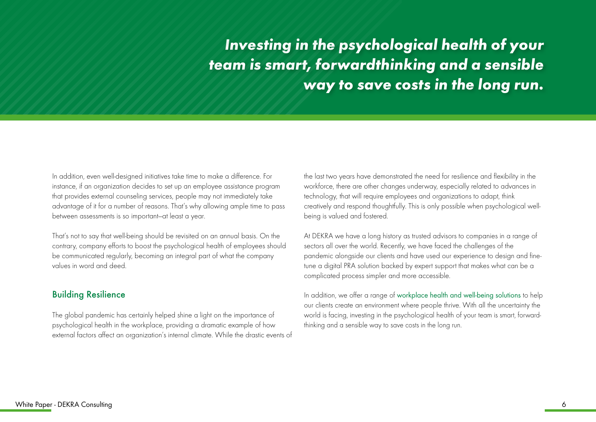*Investing in the psychological health of your team is smart, forwardthinking and a sensible way to save costs in the long run.*

In addition, even well-designed initiatives take time to make a difference. For instance, if an organization decides to set up an employee assistance program that provides external counseling services, people may not immediately take advantage of it for a number of reasons. That's why allowing ample time to pass between assessments is so important—at least a year.

That's not to say that well-being should be revisited on an annual basis. On the contrary, company efforts to boost the psychological health of employees should be communicated regularly, becoming an integral part of what the company values in word and deed.

#### Building Resilience

The global pandemic has certainly helped shine a light on the importance of psychological health in the workplace, providing a dramatic example of how external factors affect an organization's internal climate. While the drastic events of the last two years have demonstrated the need for resilience and flexibility in the workforce, there are other changes underway, especially related to advances in technology, that will require employees and organizations to adapt, think creatively and respond thoughtfully. This is only possible when psychological wellbeing is valued and fostered.

At DEKRA we have a long history as trusted advisors to companies in a range of sectors all over the world. Recently, we have faced the challenges of the pandemic alongside our clients and have used our experience to design and finetune a digital PRA solution backed by expert support that makes what can be a complicated process simpler and more accessible.

In addition, we offer a range of [workplace health and well-being solutions](https://www.dekra.com/en/workplace-health-and-wellbeing-solutions/) to help our clients create an environment where people thrive. With all the uncertainty the world is facing, investing in the psychological health of your team is smart, forwardthinking and a sensible way to save costs in the long run.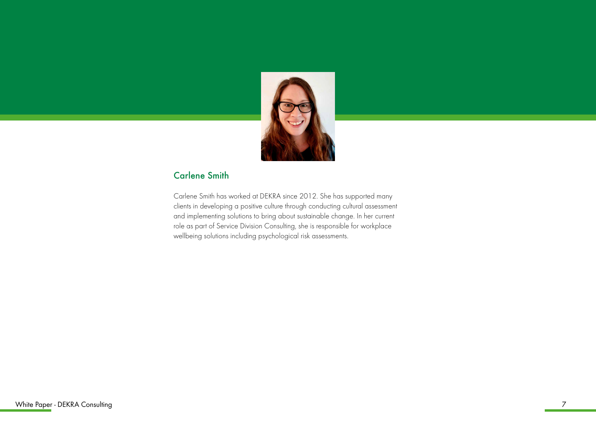

## Carlene Smith

Carlene Smith has worked at DEKRA since 2012. She has supported many clients in developing a positive culture through conducting cultural assessment and implementing solutions to bring about sustainable change. In her current role as part of Service Division Consulting, she is responsible for workplace wellbeing solutions including psychological risk assessments.